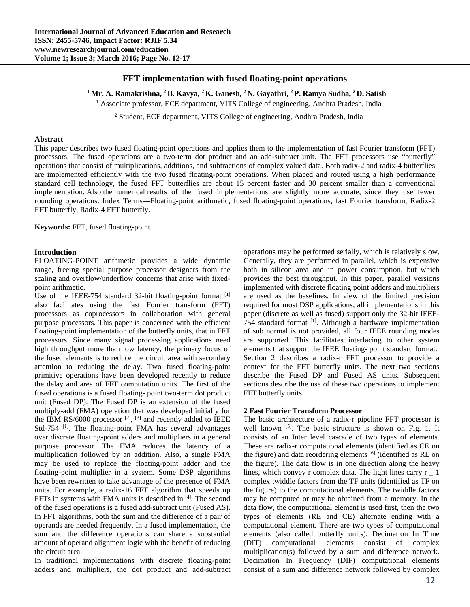# **FFT implementation with fused floating-point operations**

<sup>1</sup>Mr. A. Ramakrishna, <sup>2</sup> B. Kavya, <sup>2</sup> K. Ganesh, <sup>2</sup> N. Gayathri, <sup>2</sup> P. Ramya Sudha, <sup>2</sup> D. Satish <sup>1</sup> Associate professor, ECE department, VITS College of engineering, Andhra Pradesh, India

<sup>2</sup> Student, ECE department, VITS College of engineering, Andhra Pradesh, India

## **Abstract**

This paper describes two fused floating-point operations and applies them to the implementation of fast Fourier transform (FFT) processors. The fused operations are a two-term dot product and an add-subtract unit. The FFT processors use "butterfly" operations that consist of multiplications, additions, and subtractions of complex valued data. Both radix-2 and radix-4 butterflies are implemented efficiently with the two fused floating-point operations. When placed and routed using a high performance standard cell technology, the fused FFT butterflies are about 15 percent faster and 30 percent smaller than a conventional implementation. Also the numerical results of the fused implementations are slightly more accurate, since they use fewer rounding operations. Index Terms—Floating-point arithmetic, fused floating-point operations, fast Fourier transform, Radix-2 FFT butterfly, Radix-4 FFT butterfly.

**Keywords:** FFT, fused floating-point

## **Introduction**

FLOATING-POINT arithmetic provides a wide dynamic range, freeing special purpose processor designers from the scaling and overflow/underflow concerns that arise with fixedpoint arithmetic.

Use of the IEEE-754 standard 32-bit floating-point format <sup>[1]</sup> also facilitates using the fast Fourier transform (FFT) processors as coprocessors in collaboration with general purpose processors. This paper is concerned with the efficient floating-point implementation of the butterfly units, that in FFT processors. Since many signal processing applications need high throughput more than low latency, the primary focus of the fused elements is to reduce the circuit area with secondary attention to reducing the delay. Two fused floating-point primitive operations have been developed recently to reduce the delay and area of FFT computation units. The first of the fused operations is a fused floating- point two-term dot product unit (Fused DP). The Fused DP is an extension of the fused multiply-add (FMA) operation that was developed initially for the IBM RS/6000 processor  $^{[2]}$ ,  $^{[3]}$  and recently added to IEEE Std-754 <sup>[1]</sup>. The floating-point FMA has several advantages over discrete floating-point adders and multipliers in a general purpose processor. The FMA reduces the latency of a multiplication followed by an addition. Also, a single FMA may be used to replace the floating-point adder and the floating-point multiplier in a system. Some DSP algorithms have been rewritten to take advantage of the presence of FMA units. For example, a radix-16 FFT algorithm that speeds up FFTs in systems with FMA units is described in [4]. The second of the fused operations is a fused add-subtract unit (Fused AS). In FFT algorithms, both the sum and the difference of a pair of operands are needed frequently. In a fused implementation, the sum and the difference operations can share a substantial amount of operand alignment logic with the benefit of reducing the circuit area.

In traditional implementations with discrete floating-point adders and multipliers, the dot product and add-subtract

operations may be performed serially, which is relatively slow. Generally, they are performed in parallel, which is expensive both in silicon area and in power consumption, but which provides the best throughput. In this paper, parallel versions implemented with discrete floating point adders and multipliers are used as the baselines. In view of the limited precision required for most DSP applications, all implementations in this paper (discrete as well as fused) support only the 32-bit IEEE-754 standard format [1]. Although a hardware implementation of sub normal is not provided, all four IEEE rounding modes are supported. This facilitates interfacing to other system elements that support the IEEE floating- point standard format. Section 2 describes a radix-r FFT processor to provide a context for the FFT butterfly units. The next two sections describe the Fused DP and Fused AS units. Subsequent sections describe the use of these two operations to implement FFT butterfly units.

### **2 Fast Fourier Transform Processor**

The basic architecture of a radix-r pipeline FFT processor is well known [5]. The basic structure is shown on Fig. 1. It consists of an Inter level cascade of two types of elements. These are radix-r computational elements (identified as CE on the figure) and data reordering elements [6] (identified as RE on the figure). The data flow is in one direction along the heavy lines, which convey r complex data. The light lines carry r \_ 1 complex twiddle factors from the TF units (identified as TF on the figure) to the computational elements. The twiddle factors may be computed or may be obtained from a memory. In the data flow, the computational element is used first, then the two types of elements (RE and CE) alternate ending with a computational element. There are two types of computational elements (also called butterfly units). Decimation In Time (DIT) computational elements consist of complex multiplication(s) followed by a sum and difference network. Decimation In Frequency (DIF) computational elements consist of a sum and difference network followed by complex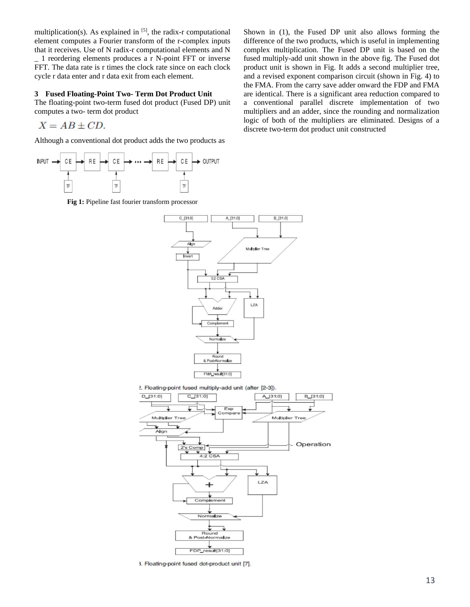multiplication(s). As explained in  $[5]$ , the radix-r computational element computes a Fourier transform of the r-complex inputs that it receives. Use of N radix-r computational elements and N \_ 1 reordering elements produces a r N-point FFT or inverse FFT. The data rate is r times the clock rate since on each clock cycle r data enter and r data exit from each element.

## **3 Fused Floating-Point Two- Term Dot Product Unit**

The floating-point two-term fused dot product (Fused DP) unit computes a two- term dot product

$$
X = AB \pm CD.
$$

Although a conventional dot product adds the two products as



**Fig 1:** Pipeline fast fourier transform processor

Shown in (1), the Fused DP unit also allows forming the difference of the two products, which is useful in implementing complex multiplication. The Fused DP unit is based on the fused multiply-add unit shown in the above fig. The Fused dot product unit is shown in Fig. It adds a second multiplier tree, and a revised exponent comparison circuit (shown in Fig. 4) to the FMA. From the carry save adder onward the FDP and FMA are identical. There is a significant area reduction compared to a conventional parallel discrete implementation of two multipliers and an adder, since the rounding and normalization logic of both of the multipliers are eliminated. Designs of a discrete two-term dot product unit constructed



2. Floating-point fused multiply-add unit (after [2-3]).



3. Floating-point fused dot-product unit [7].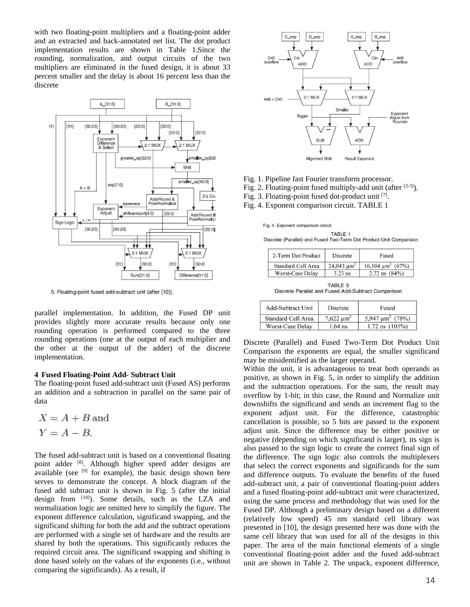with two floating-point multipliers and a floating-point adder and an extracted and back-annotated net list. The dot product implementation results are shown in Table 1.Since the rounding, normalization, and output circuits of the two multipliers are eliminated in the fused design, it is about 33 percent smaller and the delay is about 16 percent less than the discrete



5. Floating-point fused add-subtract unit (after [10]).

parallel implementation. In addition, the Fused DP unit provides slightly more accurate results because only one rounding operation is performed compared to the three rounding operations (one at the output of each multiplier and the other at the output of the adder) of the discrete implementation.

## **4 Fused Floating-Point Add- Subtract Unit**

The floating-point fused add-subtract unit (Fused AS) performs an addition and a subtraction in parallel on the same pair of data

 $X = A + B$  and  $Y = A - B$ 

The fused add-subtract unit is based on a conventional floating point adder [8]. Although higher speed adder designs are available (see  $[9]$  for example), the basic design shown here serves to demonstrate the concept. A block diagram of the fused add subtract unit is shown in Fig. 5 (after the initial design from [10]). Some details, such as the LZA and normalization logic are omitted here to simplify the figure. The exponent difference calculation, significand swapping, and the significand shifting for both the add and the subtract operations are performed with a single set of hardware and the results are shared by both the operations. This significantly reduces the required circuit area. The significand swapping and shifting is done based solely on the values of the exponents (i.e., without comparing the significands). As a result, if



Fig. 1. Pipeline fast Fourier transform processor.

- Fig. 2. Floating-point fused multiply-add unit (after [2-3]).
- Fig. 3. Floating-point fused dot-product unit [7].
- Fig. 4. Exponent comparison circuit. TABLE 1

Fig. 4. Exponent comparison circuit. **TABLE 1** Discrete (Parallel) and Fused Two-Term Dot Product Unit Comparison

| 2-Term Dot Product        | Discrete         | Fused                        |
|---------------------------|------------------|------------------------------|
| <b>Standard Cell Area</b> | $24,043 \mu m^2$ | $16,104 \text{ µm}^2 (67\%)$ |
| Worst-Case Delay          | $3.23$ ns        | $2.72$ ns $(84%)$            |

TABLE 3 Discrete Parallel and Fused Add-Subtract Comparison

| <b>Add-Subtract Unit</b>  | Discrete                   | Fused                               |
|---------------------------|----------------------------|-------------------------------------|
| <b>Standard Cell Area</b> | 7,622 $\mu$ m <sup>2</sup> | $5,947 \text{ }\mu\text{m}^2$ (78%) |
| Worst-Case Delay          | $1.64$ ns                  | $1.72$ ns $(105%)$                  |

Discrete (Parallel) and Fused Two-Term Dot Product Unit Comparison the exponents are equal, the smaller significand may be misidentified as the larger operand.

Within the unit, it is advantageous to treat both operands as positive, as shown in Fig. 5, in order to simplify the addition and the subtraction operations. For the sum, the result may overflow by 1-bit; in this case, the Round and Normalize unit downshifts the significand and sends an increment flag to the exponent adjust unit. For the difference, catastrophic cancellation is possible, so 5 bits are passed to the exponent adjust unit. Since the difference may be either positive or negative (depending on which significand is larger), its sign is also passed to the sign logic to create the correct final sign of the difference. The sign logic also controls the multiplexers that select the correct exponents and significands for the sum and difference outputs. To evaluate the benefits of the fused add-subtract unit, a pair of conventional floating-point adders and a fused floating-point add-subtract unit were characterized, using the same process and methodology that was used for the Fused DP. Although a preliminary design based on a different (relatively low speed) 45 nm standard cell library was presented in [10], the design presented here was done with the same cell library that was used for all of the designs in this paper. The area of the main functional elements of a single conventional floating-point adder and the fused add-subtract unit are shown in Table 2. The unpack, exponent difference,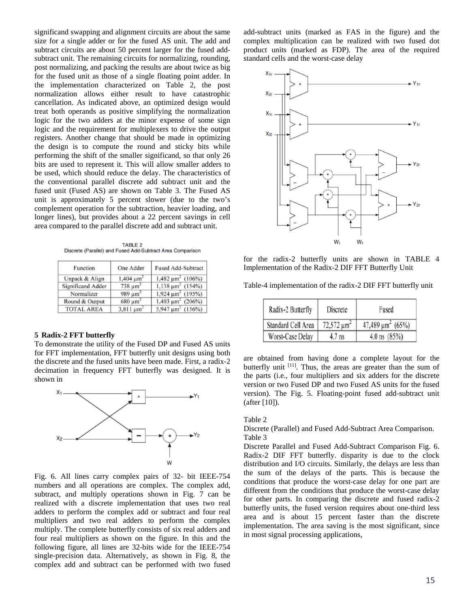significand swapping and alignment circuits are about the same size for a single adder or for the fused AS unit. The add and subtract circuits are about 50 percent larger for the fused addsubtract unit. The remaining circuits for normalizing, rounding, post normalizing, and packing the results are about twice as big for the fused unit as those of a single floating point adder. In the implementation characterized on Table 2, the post normalization allows either result to have catastrophic cancellation. As indicated above, an optimized design would treat both operands as positive simplifying the normalization logic for the two adders at the minor expense of some sign logic and the requirement for multiplexers to drive the output registers. Another change that should be made in optimizing the design is to compute the round and sticky bits while performing the shift of the smaller significand, so that only 26 bits are used to represent it. This will allow smaller adders to be used, which should reduce the delay. The characteristics of the conventional parallel discrete add subtract unit and the fused unit (Fused AS) are shown on Table 3. The Fused AS unit is approximately 5 percent slower (due to the two's complement operation for the subtraction, heavier loading, and longer lines), but provides about a 22 percent savings in cell area compared to the parallel discrete add and subtract unit.

TABLE 2 Discrete (Parallel) and Fused Add-Subtract Area Comparison

| Function          | One Adder                | <b>Fused Add-Subtract</b>           |
|-------------------|--------------------------|-------------------------------------|
| Unpack & Align    | $1,404 \mu m^2$          | $1,482 \mu m^2$ (106%)              |
| Significand Adder | $738 \text{ µm}^2$       | $1,138 \mu m^2 (154\%)$             |
| Normalizer        | 989 $\mu$ m <sup>2</sup> | $1,924 \mu m^2$ (195%)              |
| Round & Output    | $680 \mu m^2$            | $1,403 \mu m^2$ (206%)              |
| <b>TOTAL AREA</b> | $3.811 \mu m^2$          | $5,947 \text{ µm}^2 \text{ (156%)}$ |

### **5 Radix-2 FFT butterfly**

To demonstrate the utility of the Fused DP and Fused AS units for FFT implementation, FFT butterfly unit designs using both the discrete and the fused units have been made. First, a radix-2 decimation in frequency FFT butterfly was designed. It is shown in



Fig. 6. All lines carry complex pairs of 32- bit IEEE-754 numbers and all operations are complex. The complex add, subtract, and multiply operations shown in Fig. 7 can be realized with a discrete implementation that uses two real adders to perform the complex add or subtract and four real multipliers and two real adders to perform the complex multiply. The complete butterfly consists of six real adders and four real multipliers as shown on the figure. In this and the following figure, all lines are 32-bits wide for the IEEE-754 single-precision data. Alternatively, as shown in Fig. 8, the complex add and subtract can be performed with two fused add-subtract units (marked as FAS in the figure) and the complex multiplication can be realized with two fused dot product units (marked as FDP). The area of the required standard cells and the worst-case delay



for the radix-2 butterfly units are shown in TABLE 4 Implementation of the Radix-2 DIF FFT Butterfly Unit

Table-4 implementation of the radix-2 DIF FFT butterfly unit

| Radix-2 Butterfly  | Discrete         | Fused                   |
|--------------------|------------------|-------------------------|
| Standard Cell Area | $72,572 \mu m^2$ | $47,489 \mu m^2 (65\%)$ |
| Worst-Case Delay   | $4.7$ ns         | 4.0 ns $(85%)$          |

are obtained from having done a complete layout for the butterfly unit <sup>[11]</sup>. Thus, the areas are greater than the sum of the parts (i.e., four multipliers and six adders for the discrete version or two Fused DP and two Fused AS units for the fused version). The Fig. 5. Floating-point fused add-subtract unit (after [10]).

#### Table 2

Discrete (Parallel) and Fused Add-Subtract Area Comparison. Table 3

Discrete Parallel and Fused Add-Subtract Comparison Fig. 6. Radix-2 DIF FFT butterfly. disparity is due to the clock distribution and I/O circuits. Similarly, the delays are less than the sum of the delays of the parts. This is because the conditions that produce the worst-case delay for one part are different from the conditions that produce the worst-case delay for other parts. In comparing the discrete and fused radix-2 butterfly units, the fused version requires about one-third less area and is about 15 percent faster than the discrete implementation. The area saving is the most significant, since in most signal processing applications,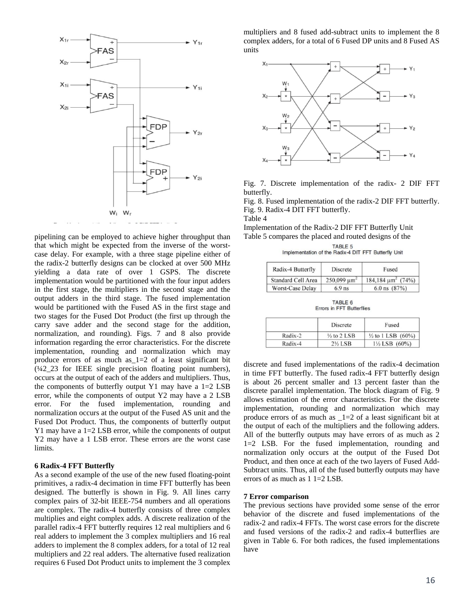

pipelining can be employed to achieve higher throughput than that which might be expected from the inverse of the worstcase delay. For example, with a three stage pipeline either of the radix-2 butterfly designs can be clocked at over 500 MHz yielding a data rate of over 1 GSPS. The discrete implementation would be partitioned with the four input adders in the first stage, the multipliers in the second stage and the output adders in the third stage. The fused implementation would be partitioned with the Fused AS in the first stage and two stages for the Fused Dot Product (the first up through the carry save adder and the second stage for the addition, normalization, and rounding). Figs. 7 and 8 also provide information regarding the error characteristics. For the discrete implementation, rounding and normalization which may produce errors of as much as\_1=2 of a least significant bit (¼2\_23 for IEEE single precision floating point numbers), occurs at the output of each of the adders and multipliers. Thus, the components of butterfly output Y1 may have a  $1=2$  LSB error, while the components of output Y2 may have a 2 LSB error. For the fused implementation, rounding and normalization occurs at the output of the Fused AS unit and the Fused Dot Product. Thus, the components of butterfly output Y1 may have a 1=2 LSB error, while the components of output Y2 may have a 1 LSB error. These errors are the worst case limits.

### **6 Radix-4 FFT Butterfly**

As a second example of the use of the new fused floating-point primitives, a radix-4 decimation in time FFT butterfly has been designed. The butterfly is shown in Fig. 9. All lines carry complex pairs of 32-bit IEEE-754 numbers and all operations are complex. The radix-4 butterfly consists of three complex multiplies and eight complex adds. A discrete realization of the parallel radix-4 FFT butterfly requires 12 real multipliers and 6 real adders to implement the 3 complex multipliers and 16 real adders to implement the 8 complex adders, for a total of 12 real multipliers and 22 real adders. The alternative fused realization requires 6 Fused Dot Product units to implement the 3 complex

multipliers and 8 fused add-subtract units to implement the 8 complex adders, for a total of 6 Fused DP units and 8 Fused AS units



Fig. 7. Discrete implementation of the radix- 2 DIF FFT butterfly.

Fig. 8. Fused implementation of the radix-2 DIF FFT butterfly. Fig. 9. Radix-4 DIT FFT butterfly. Table 4

Implementation of the Radix-2 DIF FFT Butterfly Unit Table 5 compares the placed and routed designs of the  $TADI E E$ 

|                                                      | P |  |
|------------------------------------------------------|---|--|
| Implementation of the Radix-4 DIT FFT Butterfly Unit |   |  |

| Radix-4 Butterfly         | Discrete               | Fused                         |
|---------------------------|------------------------|-------------------------------|
| <b>Standard Cell Area</b> | $250,099 \text{ µm}^2$ | $184.184 \text{ µm}^2 (74\%)$ |
| Worst-Case Delay          | $6.9$ ns               | 6.0 ns $(87%)$                |

TABLE 6 Errors in FFT Butterflies

|           | Discrete               | Fused                        |
|-----------|------------------------|------------------------------|
| Radix-2   | $\frac{1}{2}$ to 2 LSB | $\frac{1}{2}$ to 1 LSB (60%) |
| $Radix-4$ | 2% LSB                 | $1\frac{1}{2}$ LSB $(60\%)$  |

discrete and fused implementations of the radix-4 decimation in time FFT butterfly. The fused radix-4 FFT butterfly design is about 26 percent smaller and 13 percent faster than the discrete parallel implementation. The block diagram of Fig. 9 allows estimation of the error characteristics. For the discrete implementation, rounding and normalization which may produce errors of as much as \_1=2 of a least significant bit at the output of each of the multipliers and the following adders. All of the butterfly outputs may have errors of as much as 2 1=2 LSB. For the fused implementation, rounding and normalization only occurs at the output of the Fused Dot Product, and then once at each of the two layers of Fused Add-Subtract units. Thus, all of the fused butterfly outputs may have errors of as much as 1 1=2 LSB.

### **7 Error comparison**

The previous sections have provided some sense of the error behavior of the discrete and fused implementations of the radix-2 and radix-4 FFTs. The worst case errors for the discrete and fused versions of the radix-2 and radix-4 butterflies are given in Table 6. For both radices, the fused implementations have